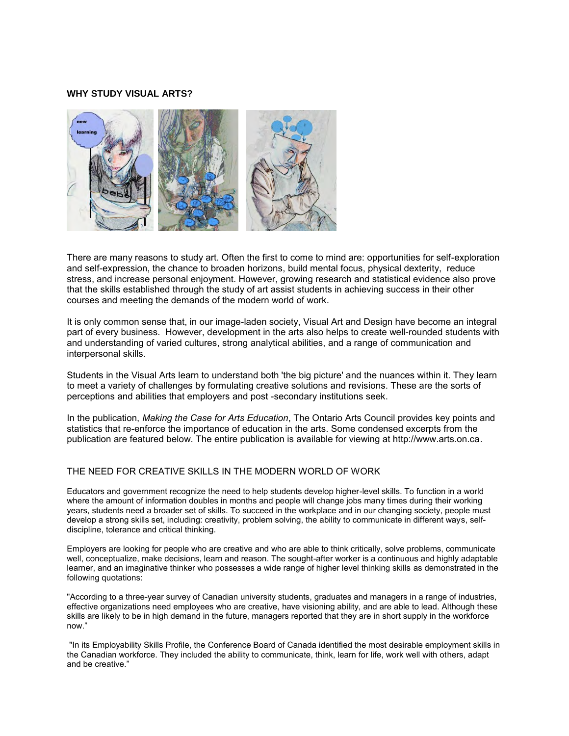### **WHY STUDY VISUAL ARTS?**



There are many reasons to study art. Often the first to come to mind are: opportunities for self-exploration and self-expression, the chance to broaden horizons, build mental focus, physical dexterity, reduce stress, and increase personal enjoyment. However, growing research and statistical evidence also prove that the skills established through the study of art assist students in achieving success in their other courses and meeting the demands of the modern world of work.

It is only common sense that, in our image-laden society, Visual Art and Design have become an integral part of every business. However, development in the arts also helps to create well-rounded students with and understanding of varied cultures, strong analytical abilities, and a range of communication and interpersonal skills.

Students in the Visual Arts learn to understand both 'the big picture' and the nuances within it. They learn to meet a variety of challenges by formulating creative solutions and revisions. These are the sorts of perceptions and abilities that employers and post -secondary institutions seek.

In the publication, *Making the Case for Arts Education*, The Ontario Arts Council provides key points and statistics that re-enforce the importance of education in the arts. Some condensed excerpts from the publication are featured below. The entire publication is available for viewing at http://www.arts.on.ca.

### THE NEED FOR CREATIVE SKILLS IN THE MODERN WORLD OF WORK

Educators and government recognize the need to help students develop higher-level skills. To function in a world where the amount of information doubles in months and people will change jobs many times during their working years, students need a broader set of skills. To succeed in the workplace and in our changing society, people must develop a strong skills set, including: creativity, problem solving, the ability to communicate in different ways, selfdiscipline, tolerance and critical thinking.

Employers are looking for people who are creative and who are able to think critically, solve problems, communicate well, conceptualize, make decisions, learn and reason. The sought-after worker is a continuous and highly adaptable learner, and an imaginative thinker who possesses a wide range of higher level thinking skills as demonstrated in the following quotations:

"According to a three-year survey of Canadian university students, graduates and managers in a range of industries, effective organizations need employees who are creative, have visioning ability, and are able to lead. Although these skills are likely to be in high demand in the future, managers reported that they are in short supply in the workforce now."

 "In its Employability Skills Profile, the Conference Board of Canada identified the most desirable employment skills in the Canadian workforce. They included the ability to communicate, think, learn for life, work well with others, adapt and be creative."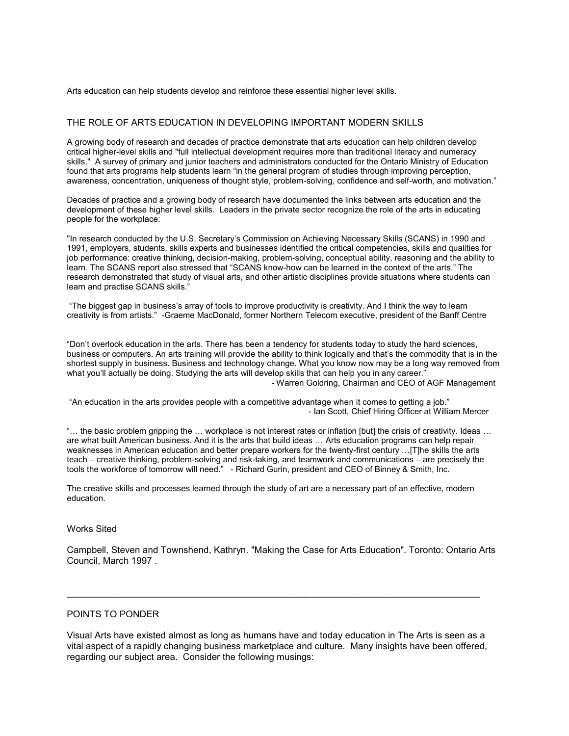Arts education can help students develop and reinforce these essential higher level skills.

# THE ROLE OF ARTS EDUCATION IN DEVELOPING IMPORTANT MODERN SKILLS

A growing body of research and decades of practice demonstrate that arts education can help children develop critical higher-level skills and "full intellectual development requires more than traditional literacy and numeracy skills." A survey of primary and junior teachers and administrators conducted for the Ontario Ministry of Education found that arts programs help students learn "in the general program of studies through improving perception, awareness, concentration, uniqueness of thought style, problem-solving, confidence and self-worth, and motivation."

Decades of practice and a growing body of research have documented the links between arts education and the development of these higher level skills. Leaders in the private sector recognize the role of the arts in educating people for the workplace:

"In research conducted by the U.S. Secretary's Commission on Achieving Necessary Skills (SCANS) in 1990 and 1991, employers, students, skills experts and businesses identified the critical competencies, skills and qualities for job performance: creative thinking, decision-making, problem-solving, conceptual ability, reasoning and the ability to learn. The SCANS report also stressed that "SCANS know-how can be learned in the context of the arts." The research demonstrated that study of visual arts, and other artistic disciplines provide situations where students can learn and practise SCANS skills."

 "The biggest gap in business's array of tools to improve productivity is creativity. And I think the way to learn creativity is from artists." -Graeme MacDonald, former Northern Telecom executive, president of the Banff Centre

"Don't overlook education in the arts. There has been a tendency for students today to study the hard sciences, business or computers. An arts training will provide the ability to think logically and that's the commodity that is in the shortest supply in business. Business and technology change. What you know now may be a long way removed from what you'll actually be doing. Studying the arts will develop skills that can help you in any career." - Warren Goldring, Chairman and CEO of AGF Management

 "An education in the arts provides people with a competitive advantage when it comes to getting a job." - Ian Scott, Chief Hiring Officer at William Mercer

"… the basic problem gripping the … workplace is not interest rates or inflation [but] the crisis of creativity. Ideas … are what built American business. And it is the arts that build ideas … Arts education programs can help repair weaknesses in American education and better prepare workers for the twenty-first century …[T]he skills the arts teach – creative thinking, problem-solving and risk-taking, and teamwork and communications – are precisely the tools the workforce of tomorrow will need." - Richard Gurin, president and CEO of Binney & Smith, Inc.

The creative skills and processes learned through the study of art are a necessary part of an effective, modern education.

### Works Sited

Campbell, Steven and Townshend, Kathryn. "Making the Case for Arts Education". Toronto: Ontario Arts Council, March 1997 .

## POINTS TO PONDER

Visual Arts have existed almost as long as humans have and today education in The Arts is seen as a vital aspect of a rapidly changing business marketplace and culture. Many insights have been offered, regarding our subject area. Consider the following musings:

\_\_\_\_\_\_\_\_\_\_\_\_\_\_\_\_\_\_\_\_\_\_\_\_\_\_\_\_\_\_\_\_\_\_\_\_\_\_\_\_\_\_\_\_\_\_\_\_\_\_\_\_\_\_\_\_\_\_\_\_\_\_\_\_\_\_\_\_\_\_\_\_\_\_\_\_\_\_\_\_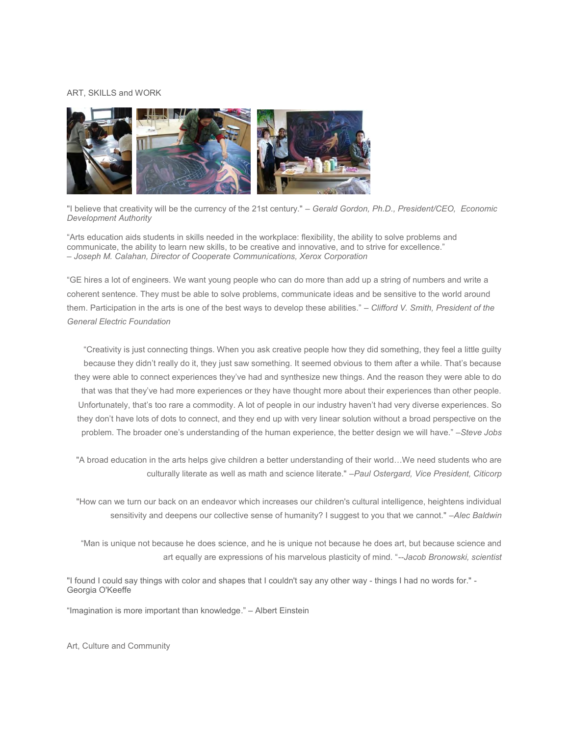#### ART, SKILLS and WORK



"I believe that creativity will be the currency of the 21st century." – *Gerald Gordon, Ph.D., President/CEO, Economic Development Authority* 

"Arts education aids students in skills needed in the workplace: flexibility, the ability to solve problems and communicate, the ability to learn new skills, to be creative and innovative, and to strive for excellence." – *Joseph M. Calahan, Director of Cooperate Communications, Xerox Corporation* 

"GE hires a lot of engineers. We want young people who can do more than add up a string of numbers and write a coherent sentence. They must be able to solve problems, communicate ideas and be sensitive to the world around them. Participation in the arts is one of the best ways to develop these abilities." – *Clifford V. Smith, President of the General Electric Foundation* 

"Creativity is just connecting things. When you ask creative people how they did something, they feel a little guilty because they didn't really do it, they just saw something. It seemed obvious to them after a while. That's because they were able to connect experiences they've had and synthesize new things. And the reason they were able to do that was that they've had more experiences or they have thought more about their experiences than other people. Unfortunately, that's too rare a commodity. A lot of people in our industry haven't had very diverse experiences. So they don't have lots of dots to connect, and they end up with very linear solution without a broad perspective on the problem. The broader one's understanding of the human experience, the better design we will have." –*Steve Jobs* 

"A broad education in the arts helps give children a better understanding of their world…We need students who are culturally literate as well as math and science literate." *–Paul Ostergard, Vice President, Citicorp* 

"How can we turn our back on an endeavor which increases our children's cultural intelligence, heightens individual sensitivity and deepens our collective sense of humanity? I suggest to you that we cannot." *–Alec Baldwin* 

 "Man is unique not because he does science, and he is unique not because he does art, but because science and art equally are expressions of his marvelous plasticity of mind. "*--Jacob Bronowski, scientist* 

"I found I could say things with color and shapes that I couldn't say any other way - things I had no words for." - Georgia O'Keeffe

"Imagination is more important than knowledge." – Albert Einstein

Art, Culture and Community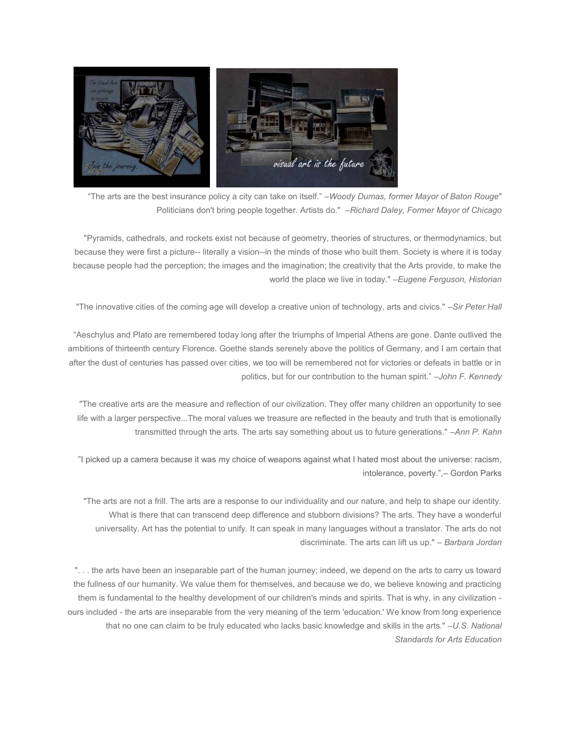

 "The arts are the best insurance policy a city can take on itself." –*Woody Dumas, former Mayor of Baton Rouge*" Politicians don't bring people together. Artists do." *–Richard Daley, Former Mayor of Chicago* 

"Pyramids, cathedrals, and rockets exist not because of geometry, theories of structures, or thermodynamics, but because they were first a picture-- literally a vision--in the minds of those who built them. Society is where it is today because people had the perception; the images and the imagination; the creativity that the Arts provide, to make the world the place we live in today." –*Eugene Ferguson, Historian*

"The innovative cities of the coming age will develop a creative union of technology, arts and civics." *–Sir Peter Hall*

"Aeschylus and Plato are remembered today long after the triumphs of Imperial Athens are gone. Dante outlived the ambitions of thirteenth century Florence. Goethe stands serenely above the politics of Germany, and I am certain that after the dust of centuries has passed over cities, we too will be remembered not for victories or defeats in battle or in politics, but for our contribution to the human spirit." –*John F. Kennedy* 

"The creative arts are the measure and reflection of our civilization. They offer many children an opportunity to see life with a larger perspective...The moral values we treasure are reflected in the beauty and truth that is emotionally transmitted through the arts. The arts say something about us to future generations." *–Ann P. Kahn* 

"I picked up a camera because it was my choice of weapons against what I hated most about the universe: racism, intolerance, poverty.",– Gordon Parks

"The arts are not a frill. The arts are a response to our individuality and our nature, and help to shape our identity. What is there that can transcend deep difference and stubborn divisions? The arts. They have a wonderful universality. Art has the potential to unify. It can speak in many languages without a translator. The arts do not discriminate. The arts can lift us up." – *Barbara Jordan* 

". . . the arts have been an inseparable part of the human journey; indeed, we depend on the arts to carry us toward the fullness of our humanity. We value them for themselves, and because we do, we believe knowing and practicing them is fundamental to the healthy development of our children's minds and spirits. That is why, in any civilization ours included - the arts are inseparable from the very meaning of the term 'education.' We know from long experience that no one can claim to be truly educated who lacks basic knowledge and skills in the arts." *–U.S. National Standards for Arts Education*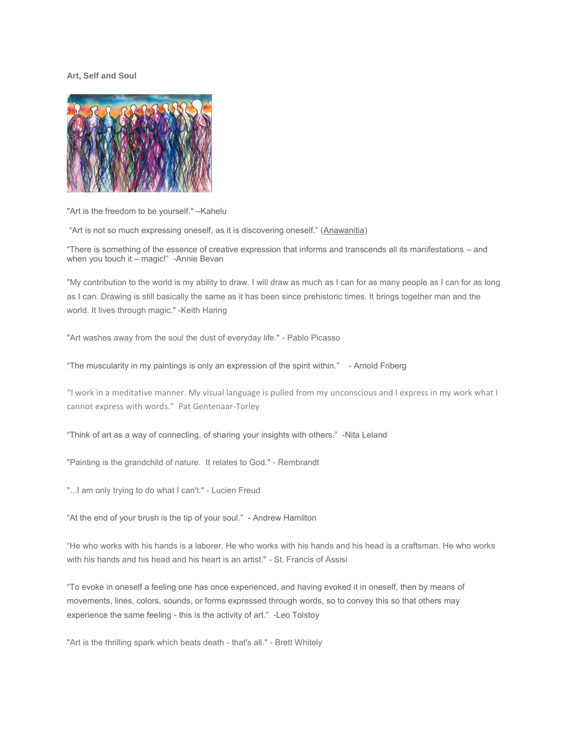#### **Art, Self and Soul**



"Art is the freedom to be yourself." –Kahelu

"Art is not so much expressing oneself, as it is discovering oneself." [\(Anawanitia\)](http://quote.robertgenn.com/auth_search.php?authid=496)

"There is something of the essence of creative expression that informs and transcends all its manifestations – and when you touch it – magic!" [-Annie Bevan](http://quote.robertgenn.com/auth_search.php?authid=593)

"My contribution to the world is my ability to draw. I will draw as much as I can for as many people as I can for as long as I can. Drawing is still basically the same as it has been since prehistoric times. It brings together man and the world. It lives through magic." -Keith Haring

"Art washes away from the soul the dust of everyday life." - Pablo Picasso

"The muscularity in my paintings is only an expression of the spirit within." [- Arnold Friberg](http://quote.robertgenn.com/auth_search.php?authid=6843)

"I work in a meditative manner. My visual language is pulled from my unconscious and I express in my work what I cannot express with words." [Pat Gentenaar-Torley](http://quote.robertgenn.com/auth_search.php?authid=2617)

"Think of art as a way of connecting, of sharing your insights with others." [-Nita Leland](http://quote.robertgenn.com/auth_search.php?authid=6426)

"Painting is the grandchild of nature. It relates to God." - Rembrandt

"...I am only trying to do what I can't." - Lucien Freud

"At the end of your brush is the tip of your soul." - [Andrew Hamilton](http://quote.robertgenn.com/auth_search.php?authid=5832)

"He who works with his hands is a laborer. He who works with his hands and his head is a craftsman. He who works with his hands and his head and his heart is an artist." - St. Francis of Assisi

"To evoke in oneself a feeling one has once experienced, and having evoked it in oneself, then by means of movements, lines, colors, sounds, or forms expressed through words, so to convey this so that others may experience the same feeling - this is the activity of art." [-Leo Tolstoy](http://quote.robertgenn.com/auth_search.php?authid=781)

"Art is the thrilling spark which beats death - that's all." - Brett Whitely